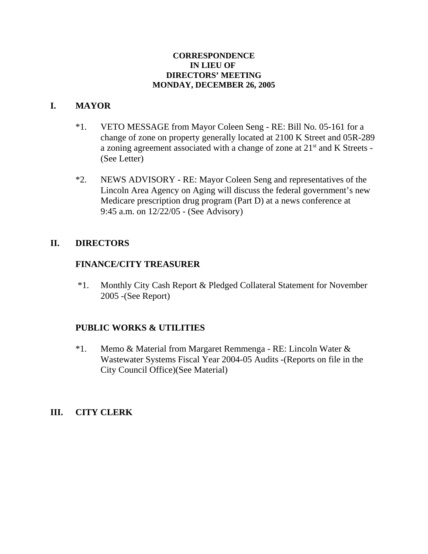#### **CORRESPONDENCE IN LIEU OF DIRECTORS' MEETING MONDAY, DECEMBER 26, 2005**

# **I. MAYOR**

- \*1. VETO MESSAGE from Mayor Coleen Seng RE: Bill No. 05-161 for a change of zone on property generally located at 2100 K Street and 05R-289 a zoning agreement associated with a change of zone at  $21<sup>st</sup>$  and K Streets -(See Letter)
- \*2. NEWS ADVISORY RE: Mayor Coleen Seng and representatives of the Lincoln Area Agency on Aging will discuss the federal government's new Medicare prescription drug program (Part D) at a news conference at 9:45 a.m. on 12/22/05 - (See Advisory)

## **II. DIRECTORS**

## **FINANCE/CITY TREASURER**

 \*1. Monthly City Cash Report & Pledged Collateral Statement for November 2005 -(See Report)

# **PUBLIC WORKS & UTILITIES**

\*1. Memo & Material from Margaret Remmenga - RE: Lincoln Water & Wastewater Systems Fiscal Year 2004-05 Audits -(Reports on file in the City Council Office)(See Material)

## **III. CITY CLERK**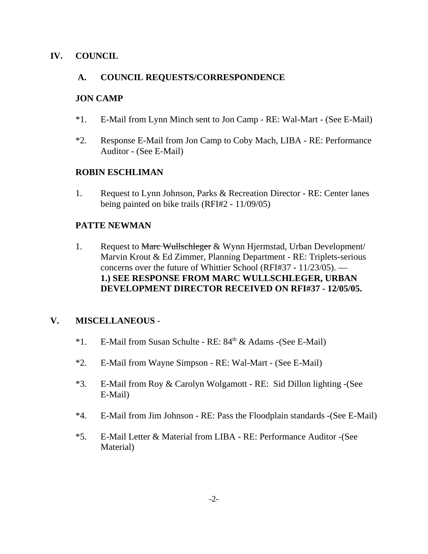## **IV. COUNCIL**

#### **A. COUNCIL REQUESTS/CORRESPONDENCE**

#### **JON CAMP**

- \*1. E-Mail from Lynn Minch sent to Jon Camp RE: Wal-Mart (See E-Mail)
- \*2. Response E-Mail from Jon Camp to Coby Mach, LIBA RE: Performance Auditor - (See E-Mail)

#### **ROBIN ESCHLIMAN**

1. Request to Lynn Johnson, Parks & Recreation Director - RE: Center lanes being painted on bike trails (RFI#2 - 11/09/05)

#### **PATTE NEWMAN**

1. Request to Marc Wullschleger & Wynn Hjermstad, Urban Development/ Marvin Krout & Ed Zimmer, Planning Department - RE: Triplets-serious concerns over the future of Whittier School (RFI#37 - 11/23/05). — **1.) SEE RESPONSE FROM MARC WULLSCHLEGER, URBAN DEVELOPMENT DIRECTOR RECEIVED ON RFI#37 - 12/05/05.** 

## **V. MISCELLANEOUS** -

- \*1. E-Mail from Susan Schulte RE: 84<sup>th</sup> & Adams -(See E-Mail)
- \*2. E-Mail from Wayne Simpson RE: Wal-Mart (See E-Mail)
- \*3. E-Mail from Roy & Carolyn Wolgamott RE: Sid Dillon lighting -(See E-Mail)
- \*4. E-Mail from Jim Johnson RE: Pass the Floodplain standards -(See E-Mail)
- \*5. E-Mail Letter & Material from LIBA RE: Performance Auditor -(See Material)